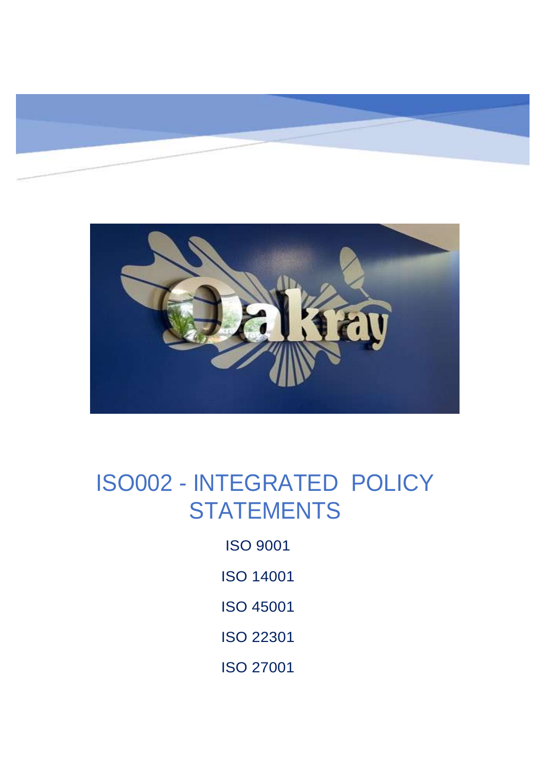



# ISO002 - INTEGRATED POLICY **STATEMENTS**

ISO 9001

- ISO 14001
- ISO 45001
- ISO 22301
- ISO 27001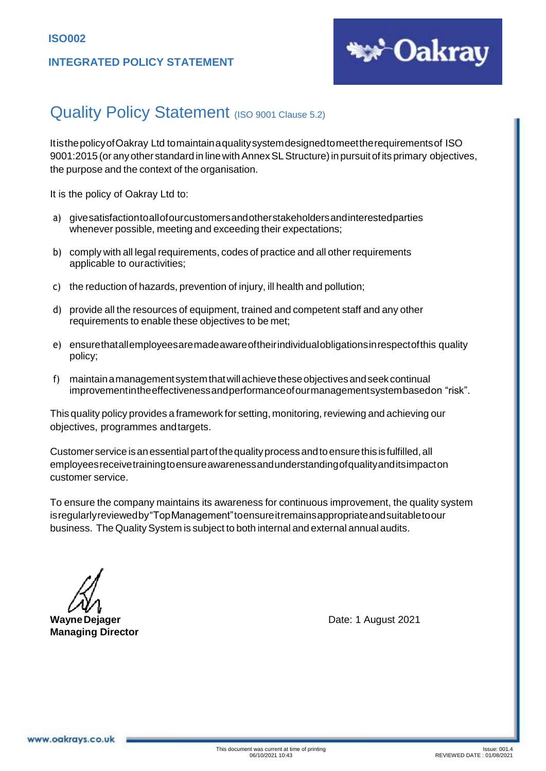#### **INTEGRATED POLICY STATEMENT**



### Quality Policy Statement (ISO 9001 Clause 5.2)

ItisthepolicyofOakray Ltd tomaintainaqualitysystemdesignedtomeettherequirementsof ISO 9001:2015 (or anyother standard in linewithAnnexSLStructure)in pursuitof its primary objectives, the purpose and the context of the organisation.

It is the policy of Oakray Ltd to:

- a) givesatisfactiontoallofourcustomersandotherstakeholdersandinterestedparties whenever possible, meeting and exceeding their expectations;
- b) comply with all legal requirements, codes of practice and all other requirements applicable to ouractivities;
- c) the reduction of hazards, prevention of injury, ill health and pollution;
- d) provide all the resources of equipment, trained and competent staff and any other requirements to enable these objectives to be met;
- e) ensurethatallemployeesaremadeawareoftheirindividualobligationsinrespectofthis quality policy;
- f) maintainamanagementsystemthatwillachievetheseobjectivesandseekcontinual improvementintheeffectivenessandperformanceofourmanagementsystembasedon "risk".

This quality policy provides a framework for setting, monitoring, reviewing and achieving our objectives, programmes andtargets.

Customer service isanessentialpartofthequalityprocessandtoensurethis isfulfilled,all employeesreceivetrainingtoensureawarenessandunderstandingofqualityanditsimpacton customer service.

To ensure the company maintains its awareness for continuous improvement, the quality system isregularlyreviewedby"TopManagement"toensureitremainsappropriateandsuitabletoour business. The QualitySystem is subject to both internal and external annual audits.

**Managing Director**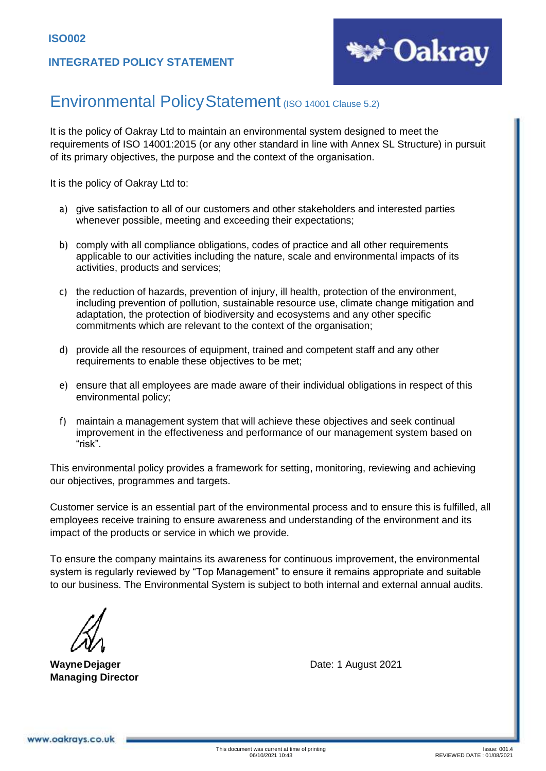

### Environmental Policy Statement (ISO 14001 Clause 5.2)

It is the policy of Oakray Ltd to maintain an environmental system designed to meet the requirements of ISO 14001:2015 (or any other standard in line with Annex SL Structure) in pursuit of its primary objectives, the purpose and the context of the organisation.

It is the policy of Oakray Ltd to:

- a) give satisfaction to all of our customers and other stakeholders and interested parties whenever possible, meeting and exceeding their expectations;
- b) comply with all compliance obligations, codes of practice and all other requirements applicable to our activities including the nature, scale and environmental impacts of its activities, products and services;
- c) the reduction of hazards, prevention of injury, ill health, protection of the environment, including prevention of pollution, sustainable resource use, climate change mitigation and adaptation, the protection of biodiversity and ecosystems and any other specific commitments which are relevant to the context of the organisation;
- d) provide all the resources of equipment, trained and competent staff and any other requirements to enable these objectives to be met;
- e) ensure that all employees are made aware of their individual obligations in respect of this environmental policy;
- f) maintain a management system that will achieve these objectives and seek continual improvement in the effectiveness and performance of our management system based on "risk".

This environmental policy provides a framework for setting, monitoring, reviewing and achieving our objectives, programmes and targets.

Customer service is an essential part of the environmental process and to ensure this is fulfilled, all employees receive training to ensure awareness and understanding of the environment and its impact of the products or service in which we provide.

To ensure the company maintains its awareness for continuous improvement, the environmental system is regularly reviewed by "Top Management" to ensure it remains appropriate and suitable to our business. The Environmental System is subject to both internal and external annual audits.

**Managing Director**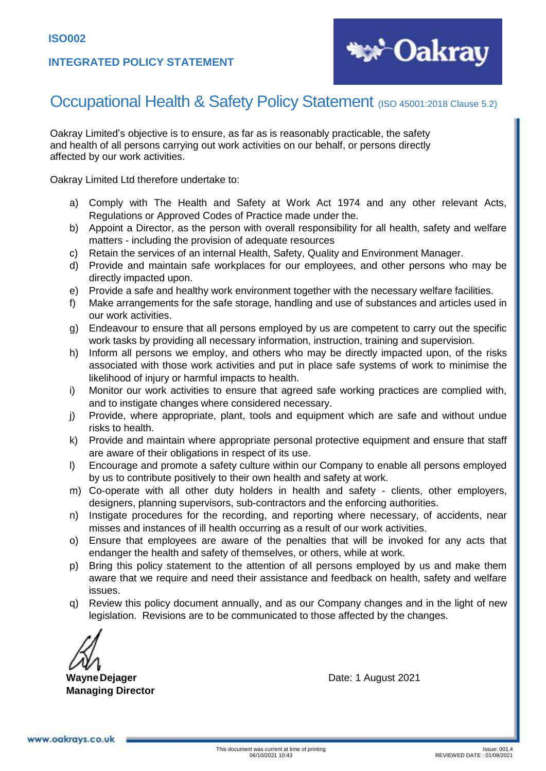#### **INTEGRATED POLICY STATEMENT**



### Occupational Health & Safety Policy Statement (ISO 45001:2018 Clause 5.2)

Oakray Limited's objective is to ensure, as far as is reasonably practicable, the safety and health of all persons carrying out work activities on our behalf, or persons directly affected by our work activities.

Oakray Limited Ltd therefore undertake to:

- a) Comply with The Health and Safety at Work Act 1974 and any other relevant Acts, Regulations or Approved Codes of Practice made under the.
- b) Appoint a Director, as the person with overall responsibility for all health, safety and welfare matters - including the provision of adequate resources
- c) Retain the services of an internal Health, Safety, Quality and Environment Manager.
- d) Provide and maintain safe workplaces for our employees, and other persons who may be directly impacted upon.
- e) Provide a safe and healthy work environment together with the necessary welfare facilities.
- f) Make arrangements for the safe storage, handling and use of substances and articles used in our work activities.
- g) Endeavour to ensure that all persons employed by us are competent to carry out the specific work tasks by providing all necessary information, instruction, training and supervision.
- h) Inform all persons we employ, and others who may be directly impacted upon, of the risks associated with those work activities and put in place safe systems of work to minimise the likelihood of injury or harmful impacts to health.
- i) Monitor our work activities to ensure that agreed safe working practices are complied with, and to instigate changes where considered necessary.
- j) Provide, where appropriate, plant, tools and equipment which are safe and without undue risks to health.
- k) Provide and maintain where appropriate personal protective equipment and ensure that staff are aware of their obligations in respect of its use.
- l) Encourage and promote a safety culture within our Company to enable all persons employed by us to contribute positively to their own health and safety at work.
- m) Co-operate with all other duty holders in health and safety clients, other employers, designers, planning supervisors, sub-contractors and the enforcing authorities.
- n) Instigate procedures for the recording, and reporting where necessary, of accidents, near misses and instances of ill health occurring as a result of our work activities.
- o) Ensure that employees are aware of the penalties that will be invoked for any acts that endanger the health and safety of themselves, or others, while at work.
- p) Bring this policy statement to the attention of all persons employed by us and make them aware that we require and need their assistance and feedback on health, safety and welfare issues.
- q) Review this policy document annually, and as our Company changes and in the light of new legislation. Revisions are to be communicated to those affected by the changes.

**Managing Director**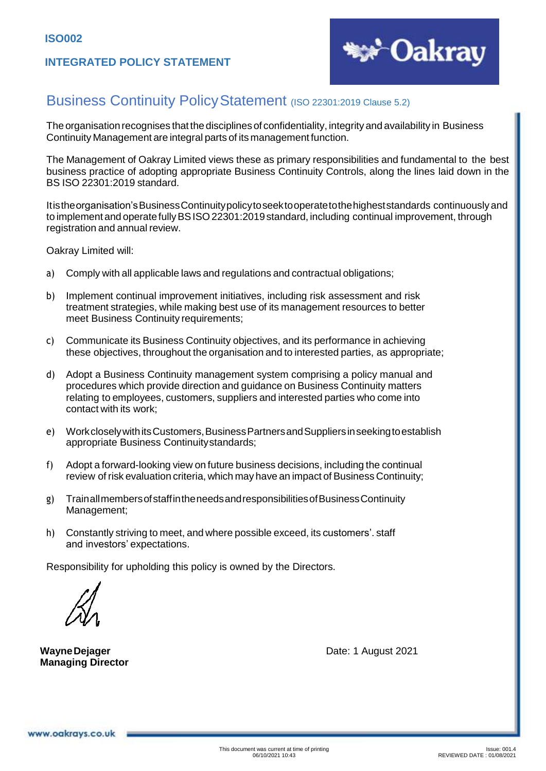

### Business Continuity Policy Statement (ISO 22301:2019 Clause 5.2)

The organisation recognises that the disciplines of confidentiality, integrity and availability in Business Continuity Management are integral parts of its management function.

The Management of Oakray Limited views these as primary responsibilities and fundamental to the best business practice of adopting appropriate Business Continuity Controls, along the lines laid down in the BS ISO 22301:2019 standard.

Itistheorganisation'sBusinessContinuitypolicytoseektooperatetothehigheststandards continuously and to implement and operate fully BSISO 22301:2019 standard, including continual improvement, through registration and annual review.

Oakray Limited will:

- a) Comply with all applicable laws and regulations and contractual obligations;
- b) Implement continual improvement initiatives, including risk assessment and risk treatment strategies, while making best use of its management resources to better meet Business Continuity requirements;
- c) Communicate its Business Continuity objectives, and its performance in achieving these objectives, throughout the organisation and to interested parties, as appropriate;
- d) Adopt a Business Continuity management system comprising a policy manual and procedures which provide direction and guidance on Business Continuity matters relating to employees, customers, suppliers and interested parties who come into contact with its work;
- e) WorkcloselywithitsCustomers,BusinessPartnersandSuppliersinseekingtoestablish appropriate Business Continuitystandards;
- f) Adopt a forward-looking view on future business decisions, including the continual review of risk evaluation criteria, which may have an impact of Business Continuity;
- g) TrainallmembersofstaffintheneedsandresponsibilitiesofBusinessContinuity Management;
- h) Constantly striving to meet, and where possible exceed, its customers'. staff and investors' expectations.

Responsibility for upholding this policy is owned by the Directors.

**Managing Director**